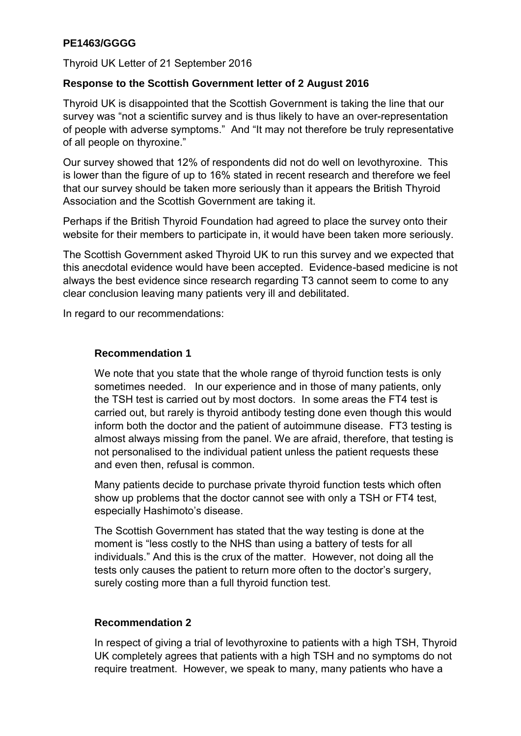# **PE1463/GGGG**

Thyroid UK Letter of 21 September 2016

## **Response to the Scottish Government letter of 2 August 2016**

Thyroid UK is disappointed that the Scottish Government is taking the line that our survey was "not a scientific survey and is thus likely to have an over-representation of people with adverse symptoms." And "It may not therefore be truly representative of all people on thyroxine."

Our survey showed that 12% of respondents did not do well on levothyroxine. This is lower than the figure of up to 16% stated in recent research and therefore we feel that our survey should be taken more seriously than it appears the British Thyroid Association and the Scottish Government are taking it.

Perhaps if the British Thyroid Foundation had agreed to place the survey onto their website for their members to participate in, it would have been taken more seriously.

The Scottish Government asked Thyroid UK to run this survey and we expected that this anecdotal evidence would have been accepted. Evidence-based medicine is not always the best evidence since research regarding T3 cannot seem to come to any clear conclusion leaving many patients very ill and debilitated.

In regard to our recommendations:

## **Recommendation 1**

We note that you state that the whole range of thyroid function tests is only sometimes needed. In our experience and in those of many patients, only the TSH test is carried out by most doctors. In some areas the FT4 test is carried out, but rarely is thyroid antibody testing done even though this would inform both the doctor and the patient of autoimmune disease. FT3 testing is almost always missing from the panel. We are afraid, therefore, that testing is not personalised to the individual patient unless the patient requests these and even then, refusal is common.

Many patients decide to purchase private thyroid function tests which often show up problems that the doctor cannot see with only a TSH or FT4 test, especially Hashimoto's disease.

The Scottish Government has stated that the way testing is done at the moment is "less costly to the NHS than using a battery of tests for all individuals." And this is the crux of the matter. However, not doing all the tests only causes the patient to return more often to the doctor's surgery, surely costing more than a full thyroid function test.

## **Recommendation 2**

In respect of giving a trial of levothyroxine to patients with a high TSH, Thyroid UK completely agrees that patients with a high TSH and no symptoms do not require treatment. However, we speak to many, many patients who have a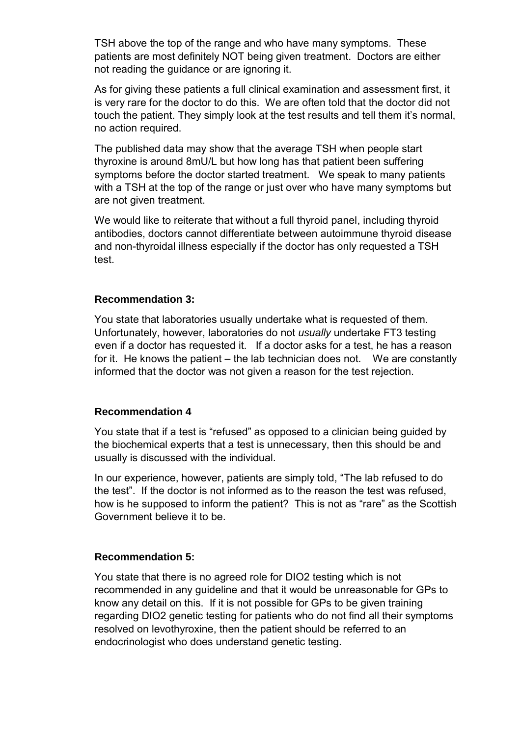TSH above the top of the range and who have many symptoms. These patients are most definitely NOT being given treatment. Doctors are either not reading the guidance or are ignoring it.

As for giving these patients a full clinical examination and assessment first, it is very rare for the doctor to do this. We are often told that the doctor did not touch the patient. They simply look at the test results and tell them it's normal, no action required.

The published data may show that the average TSH when people start thyroxine is around 8mU/L but how long has that patient been suffering symptoms before the doctor started treatment. We speak to many patients with a TSH at the top of the range or just over who have many symptoms but are not given treatment.

We would like to reiterate that without a full thyroid panel, including thyroid antibodies, doctors cannot differentiate between autoimmune thyroid disease and non-thyroidal illness especially if the doctor has only requested a TSH test.

#### **Recommendation 3:**

You state that laboratories usually undertake what is requested of them. Unfortunately, however, laboratories do not *usually* undertake FT3 testing even if a doctor has requested it. If a doctor asks for a test, he has a reason for it. He knows the patient – the lab technician does not. We are constantly informed that the doctor was not given a reason for the test rejection.

#### **Recommendation 4**

You state that if a test is "refused" as opposed to a clinician being guided by the biochemical experts that a test is unnecessary, then this should be and usually is discussed with the individual.

In our experience, however, patients are simply told, "The lab refused to do the test". If the doctor is not informed as to the reason the test was refused, how is he supposed to inform the patient? This is not as "rare" as the Scottish Government believe it to be.

#### **Recommendation 5:**

You state that there is no agreed role for DIO2 testing which is not recommended in any guideline and that it would be unreasonable for GPs to know any detail on this. If it is not possible for GPs to be given training regarding DIO2 genetic testing for patients who do not find all their symptoms resolved on levothyroxine, then the patient should be referred to an endocrinologist who does understand genetic testing.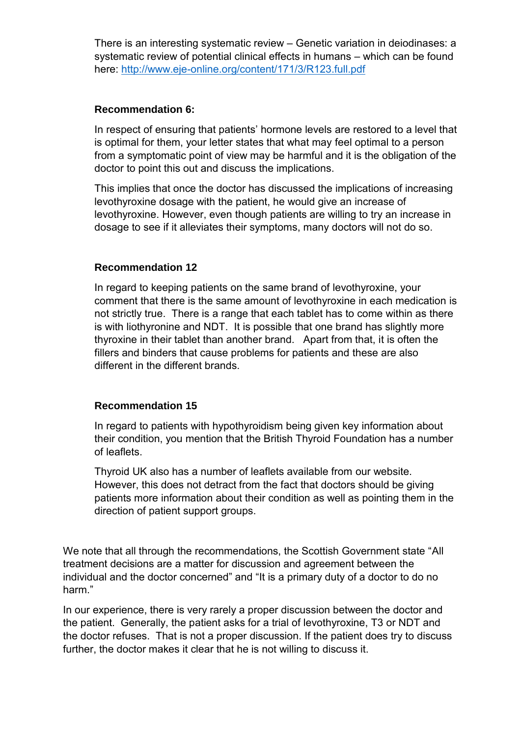There is an interesting systematic review – Genetic variation in deiodinases: a systematic review of potential clinical effects in humans – which can be found here:<http://www.eje-online.org/content/171/3/R123.full.pdf>

### **Recommendation 6:**

In respect of ensuring that patients' hormone levels are restored to a level that is optimal for them, your letter states that what may feel optimal to a person from a symptomatic point of view may be harmful and it is the obligation of the doctor to point this out and discuss the implications.

This implies that once the doctor has discussed the implications of increasing levothyroxine dosage with the patient, he would give an increase of levothyroxine. However, even though patients are willing to try an increase in dosage to see if it alleviates their symptoms, many doctors will not do so.

## **Recommendation 12**

In regard to keeping patients on the same brand of levothyroxine, your comment that there is the same amount of levothyroxine in each medication is not strictly true. There is a range that each tablet has to come within as there is with liothyronine and NDT. It is possible that one brand has slightly more thyroxine in their tablet than another brand. Apart from that, it is often the fillers and binders that cause problems for patients and these are also different in the different brands.

## **Recommendation 15**

In regard to patients with hypothyroidism being given key information about their condition, you mention that the British Thyroid Foundation has a number of leaflets.

Thyroid UK also has a number of leaflets available from our website. However, this does not detract from the fact that doctors should be giving patients more information about their condition as well as pointing them in the direction of patient support groups.

We note that all through the recommendations, the Scottish Government state "All treatment decisions are a matter for discussion and agreement between the individual and the doctor concerned" and "It is a primary duty of a doctor to do no harm."

In our experience, there is very rarely a proper discussion between the doctor and the patient. Generally, the patient asks for a trial of levothyroxine, T3 or NDT and the doctor refuses. That is not a proper discussion. If the patient does try to discuss further, the doctor makes it clear that he is not willing to discuss it.